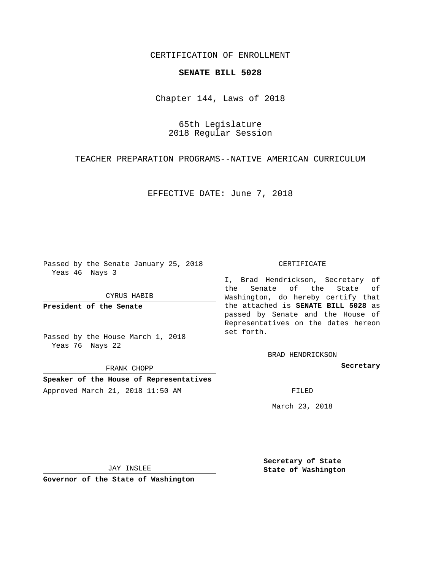## CERTIFICATION OF ENROLLMENT

## **SENATE BILL 5028**

Chapter 144, Laws of 2018

65th Legislature 2018 Regular Session

TEACHER PREPARATION PROGRAMS--NATIVE AMERICAN CURRICULUM

EFFECTIVE DATE: June 7, 2018

Passed by the Senate January 25, 2018 Yeas 46 Nays 3

CYRUS HABIB

**President of the Senate**

Passed by the House March 1, 2018 Yeas 76 Nays 22

FRANK CHOPP

**Speaker of the House of Representatives** Approved March 21, 2018 11:50 AM FILED

## CERTIFICATE

I, Brad Hendrickson, Secretary of the Senate of the State of Washington, do hereby certify that the attached is **SENATE BILL 5028** as passed by Senate and the House of Representatives on the dates hereon set forth.

BRAD HENDRICKSON

**Secretary**

March 23, 2018

JAY INSLEE

**Governor of the State of Washington**

**Secretary of State State of Washington**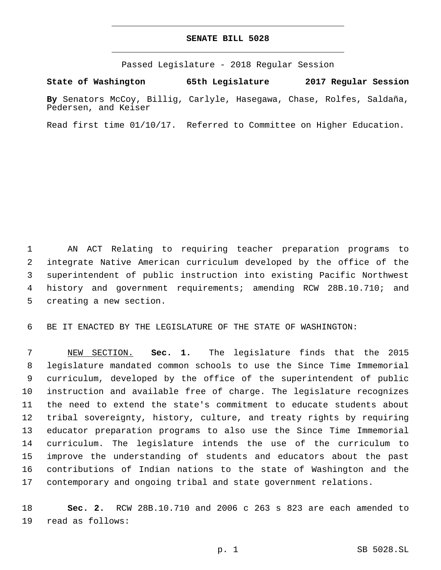## **SENATE BILL 5028**

Passed Legislature - 2018 Regular Session

**State of Washington 65th Legislature 2017 Regular Session**

**By** Senators McCoy, Billig, Carlyle, Hasegawa, Chase, Rolfes, Saldaña, Pedersen, and Keiser

Read first time 01/10/17. Referred to Committee on Higher Education.

 AN ACT Relating to requiring teacher preparation programs to integrate Native American curriculum developed by the office of the superintendent of public instruction into existing Pacific Northwest history and government requirements; amending RCW 28B.10.710; and 5 creating a new section.

BE IT ENACTED BY THE LEGISLATURE OF THE STATE OF WASHINGTON:

 NEW SECTION. **Sec. 1.** The legislature finds that the 2015 legislature mandated common schools to use the Since Time Immemorial curriculum, developed by the office of the superintendent of public instruction and available free of charge. The legislature recognizes the need to extend the state's commitment to educate students about tribal sovereignty, history, culture, and treaty rights by requiring educator preparation programs to also use the Since Time Immemorial curriculum. The legislature intends the use of the curriculum to improve the understanding of students and educators about the past contributions of Indian nations to the state of Washington and the contemporary and ongoing tribal and state government relations.

 **Sec. 2.** RCW 28B.10.710 and 2006 c 263 s 823 are each amended to 19 read as follows: